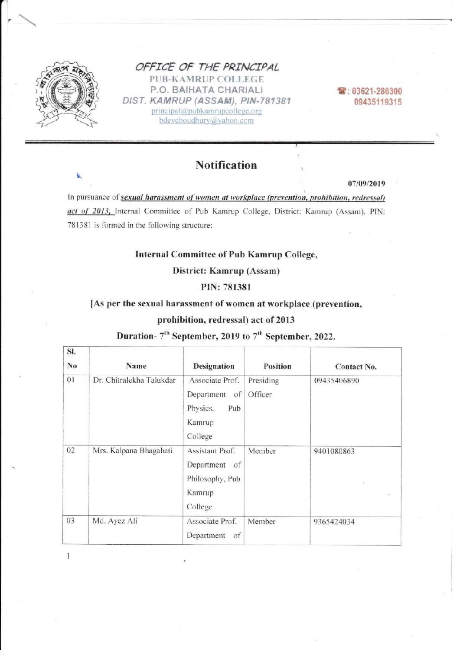

### OFFICE OF THE PRINCIPAL **PUB-KAMRUP COLLEGE** P.O. BAIHATA CHARIALI DIST. KAMRUP (ASSAM), PIN-781381 principal@pubkamrupcollege.org

bdevchoudhury@yahoo.com

雪: 03621-286300 09435119315

# **Notification**

07/09/2019

In pursuance of sexual harassment of women at workplace (prevention, prohibition, redressal) act of 2013, Internal Committee of Pub Kamrup College, District: Kamrup (Assam), PIN: 781381 is formed in the following structure:

## **Internal Committee of Pub Kamrup College,**

District: Kamrup (Assam)

#### PIN: 781381

#### [As per the sexual harassment of women at workplace (prevention,

#### prohibition, redressal) act of 2013

# Duration- 7<sup>th</sup> September, 2019 to 7<sup>th</sup> September, 2022.

| SI.      |                                  |                                                                                                |                                         |                            |
|----------|----------------------------------|------------------------------------------------------------------------------------------------|-----------------------------------------|----------------------------|
| No<br>01 | Name<br>Dr. Chitralekha Talukdar | <b>Designation</b><br>Associate Prof.<br>Department of<br>Physics,<br>Pub<br>Kamrup<br>College | <b>Position</b><br>Presiding<br>Officer | Contact No.<br>09435406890 |
| 02       | Mrs. Kalpana Bhagabati           | Assistant Prof.<br>Department of<br>Philosophy, Pub<br>Kamrup<br>College                       | Member                                  | 9401080863                 |
| 03       | Md. Ayez Ali                     | Associate Prof.<br>Department<br>of                                                            | Member                                  | 9365424034                 |

 $\mathbf{I}$